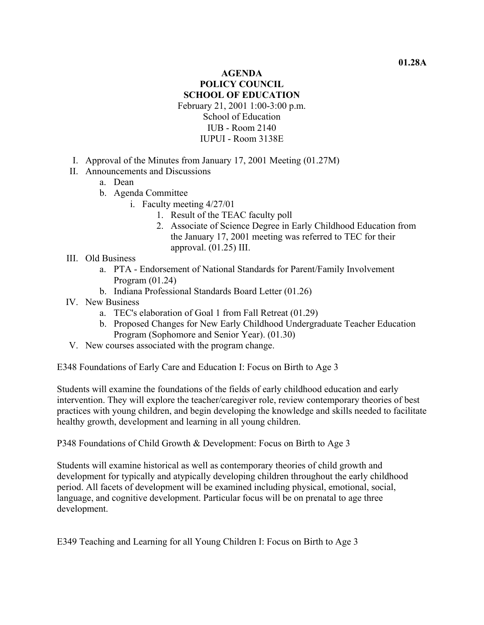## **AGENDA POLICY COUNCIL SCHOOL OF EDUCATION**  February 21, 2001 1:00-3:00 p.m. School of Education IUB - Room 2140 IUPUI - Room 3138E

- I. Approval of the Minutes from January 17, 2001 Meeting (01.27M)
- II. Announcements and Discussions
	- a. Dean
	- b. Agenda Committee
		- i. Faculty meeting 4/27/01
			- 1. Result of the TEAC faculty poll
			- 2. Associate of Science Degree in Early Childhood Education from the January 17, 2001 meeting was referred to TEC for their approval. (01.25) III.
- III. Old Business
	- a. PTA Endorsement of National Standards for Parent/Family Involvement Program (01.24)
	- b. Indiana Professional Standards Board Letter (01.26)
- IV. New Business
	- a. TEC's elaboration of Goal 1 from Fall Retreat (01.29)
	- b. Proposed Changes for New Early Childhood Undergraduate Teacher Education Program (Sophomore and Senior Year). (01.30)
- V. New courses associated with the program change.

E348 Foundations of Early Care and Education I: Focus on Birth to Age 3

Students will examine the foundations of the fields of early childhood education and early intervention. They will explore the teacher/caregiver role, review contemporary theories of best practices with young children, and begin developing the knowledge and skills needed to facilitate healthy growth, development and learning in all young children.

P348 Foundations of Child Growth & Development: Focus on Birth to Age 3

Students will examine historical as well as contemporary theories of child growth and development for typically and atypically developing children throughout the early childhood period. All facets of development will be examined including physical, emotional, social, language, and cognitive development. Particular focus will be on prenatal to age three development.

E349 Teaching and Learning for all Young Children I: Focus on Birth to Age 3